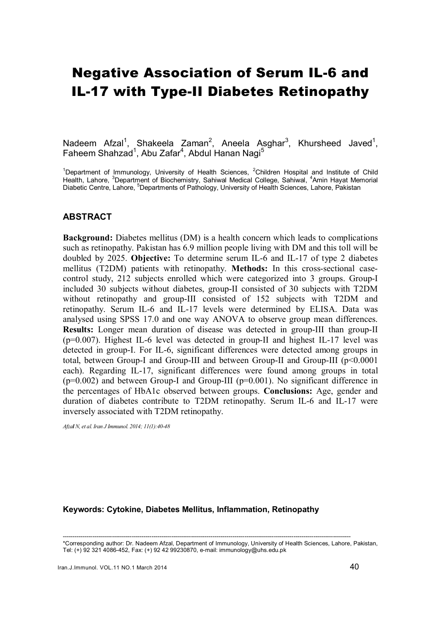# Negative Association of Serum IL-6 and IL-17 with Type-II Diabetes Retinopathy

Nadeem Afzal<sup>1</sup>, Shakeela Zaman<sup>2</sup>, Aneela Asghar<sup>3</sup>, Khursheed Javed<sup>1</sup>, Faheem Shahzad<sup>1</sup>, Abu Zafar<sup>4</sup>, Abdul Hanan Nagi<sup>5</sup>

<sup>1</sup>Department of Immunology, University of Health Sciences, <sup>2</sup>Children Hospital and Institute of Child Health, Lahore, <sup>3</sup>Department of Biochemistry, Sahiwal Medical College, Sahiwal, <sup>4</sup>Amin Hayat Memorial Diabetic Centre, Lahore, <sup>5</sup>Departments of Pathology, University of Health Sciences, Lahore, Pakistan

# **ABSTRACT**

Background: Diabetes mellitus (DM) is a health concern which leads to complications such as retinopathy. Pakistan has 6.9 million people living with DM and this toll will be doubled by 2025. Objective: To determine serum IL-6 and IL-17 of type 2 diabetes mellitus (T2DM) patients with retinopathy. Methods: In this cross-sectional casecontrol study, 212 subjects enrolled which were categorized into 3 groups. Group-I included 30 subjects without diabetes, group-II consisted of 30 subjects with T2DM without retinopathy and group-III consisted of 152 subjects with T2DM and retinopathy. Serum IL-6 and IL-17 levels were determined by ELISA. Data was analysed using SPSS 17.0 and one way ANOVA to observe group mean differences. Results: Longer mean duration of disease was detected in group-III than group-II (p=0.007). Highest IL-6 level was detected in group-II and highest IL-17 level was detected in group-I. For IL-6, significant differences were detected among groups in total, between Group-I and Group-III and between Group-II and Group-III (p<0.0001 each). Regarding IL-17, significant differences were found among groups in total  $(p=0.002)$  and between Group-I and Group-III ( $p=0.001$ ). No significant difference in the percentages of HbA1c observed between groups. Conclusions: Age, gender and duration of diabetes contribute to T2DM retinopathy. Serum IL-6 and IL-17 were inversely associated with T2DM retinopathy.

*Afzal N, et al. Iran J Immunol. 2014; 11(1):40-48* 

#### Keywords: Cytokine, Diabetes Mellitus, Inflammation, Retinopathy

<sup>--------------------------------------------------------------------------------------------------------------------------------------------------</sup>  \*Corresponding author: Dr. Nadeem Afzal, Department of Immunology, University of Health Sciences, Lahore, Pakistan, Tel: (+) 92 321 4086-452, Fax: (+) 92 42 99230870, e-mail: immunology@uhs.edu.pk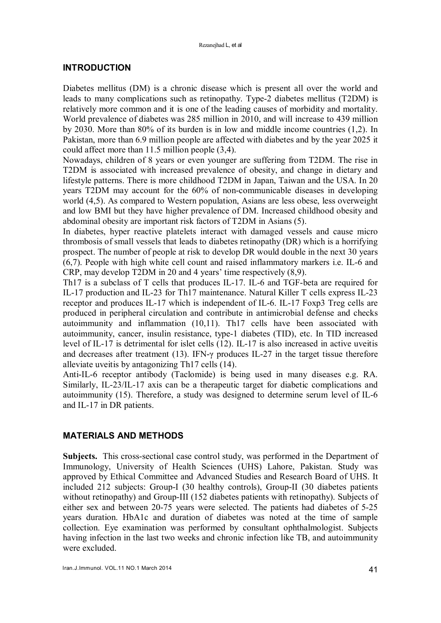# INTRODUCTION

Diabetes mellitus (DM) is a chronic disease which is present all over the world and leads to many complications such as retinopathy. Type-2 diabetes mellitus (T2DM) is relatively more common and it is one of the leading causes of morbidity and mortality. World prevalence of diabetes was 285 million in 2010, and will increase to 439 million by 2030. More than 80% of its burden is in low and middle income countries (1,2). In Pakistan, more than 6.9 million people are affected with diabetes and by the year 2025 it could affect more than 11.5 million people (3,4).

Nowadays, children of 8 years or even younger are suffering from T2DM. The rise in T2DM is associated with increased prevalence of obesity, and change in dietary and lifestyle patterns. There is more childhood T2DM in Japan, Taiwan and the USA. In 20 years T2DM may account for the 60% of non-communicable diseases in developing world (4,5). As compared to Western population, Asians are less obese, less overweight and low BMI but they have higher prevalence of DM. Increased childhood obesity and abdominal obesity are important risk factors of T2DM in Asians (5).

In diabetes, hyper reactive platelets interact with damaged vessels and cause micro thrombosis of small vessels that leads to diabetes retinopathy (DR) which is a horrifying prospect. The number of people at risk to develop DR would double in the next 30 years (6,7). People with high white cell count and raised inflammatory markers i.e. IL-6 and CRP, may develop T2DM in 20 and 4 years' time respectively (8,9).

Th17 is a subclass of T cells that produces IL-17. IL-6 and TGF-beta are required for IL-17 production and IL-23 for Th17 maintenance. Natural Killer T cells express IL-23 receptor and produces IL-17 which is independent of IL-6. IL-17 Foxp3 Treg cells are produced in peripheral circulation and contribute in antimicrobial defense and checks autoimmunity and inflammation (10,11). Th17 cells have been associated with autoimmunity, cancer, insulin resistance, type-1 diabetes (TID), etc. In TID increased level of IL-17 is detrimental for islet cells (12). IL-17 is also increased in active uveitis and decreases after treatment (13). IFN- $\gamma$  produces IL-27 in the target tissue therefore alleviate uveitis by antagonizing Th17 cells (14).

Anti-IL-6 receptor antibody (Taclomide) is being used in many diseases e.g. RA. Similarly, IL-23/IL-17 axis can be a therapeutic target for diabetic complications and autoimmunity (15). Therefore, a study was designed to determine serum level of IL-6 and IL-17 in DR patients.

# MATERIALS AND METHODS

Subjects. This cross-sectional case control study, was performed in the Department of Immunology, University of Health Sciences (UHS) Lahore, Pakistan. Study was approved by Ethical Committee and Advanced Studies and Research Board of UHS. It included 212 subjects: Group-I (30 healthy controls), Group-II (30 diabetes patients without retinopathy) and Group-III (152 diabetes patients with retinopathy). Subjects of either sex and between 20-75 years were selected. The patients had diabetes of 5-25 years duration. HbA1c and duration of diabetes was noted at the time of sample collection. Eye examination was performed by consultant ophthalmologist. Subjects having infection in the last two weeks and chronic infection like TB, and autoimmunity were excluded.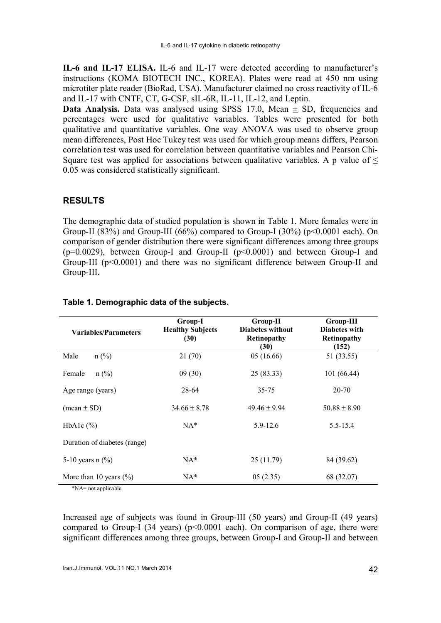IL-6 and IL-17 ELISA. IL-6 and IL-17 were detected according to manufacturer's instructions (KOMA BIOTECH INC., KOREA). Plates were read at 450 nm using microtiter plate reader (BioRad, USA). Manufacturer claimed no cross reactivity of IL-6 and IL-17 with CNTF, CT, G-CSF, sIL-6R, IL-11, IL-12, and Leptin.

**Data Analysis.** Data was analysed using SPSS 17.0, Mean  $\pm$  SD, frequencies and percentages were used for qualitative variables. Tables were presented for both qualitative and quantitative variables. One way ANOVA was used to observe group mean differences, Post Hoc Tukey test was used for which group means differs, Pearson correlation test was used for correlation between quantitative variables and Pearson Chi-Square test was applied for associations between qualitative variables. A p value of  $\leq$ 0.05 was considered statistically significant.

# RESULTS

The demographic data of studied population is shown in Table 1. More females were in Group-II (83%) and Group-III (66%) compared to Group-I (30%) ( $p<0.0001$  each). On comparison of gender distribution there were significant differences among three groups ( $p=0.0029$ ), between Group-I and Group-II ( $p<0.0001$ ) and between Group-I and Group-III (p<0.0001) and there was no significant difference between Group-II and Group-III.

| <b>Variables/Parameters</b>  | Group-I<br><b>Healthy Subjects</b><br>(30) | Group-II<br><b>Diabetes without</b><br>Retinopathy<br>(30) | Group-III<br>Diabetes with<br><b>Retinopathy</b><br>(152) |  |
|------------------------------|--------------------------------------------|------------------------------------------------------------|-----------------------------------------------------------|--|
| $n$ (%)<br>Male              | 21(70)                                     | 05(16.66)                                                  | 51 (33.55)                                                |  |
| $n$ (%)<br>Female            | 09(30)                                     | 25(83.33)                                                  | 101 (66.44)                                               |  |
| Age range (years)            | 28-64                                      | $35 - 75$                                                  | 20-70                                                     |  |
| $(mean \pm SD)$              | $34.66 \pm 8.78$                           | $49.46 \pm 9.94$                                           | $50.88 \pm 8.90$                                          |  |
| HbA <sub>1</sub> c $(\%)$    | $NA*$                                      | 5.9-12.6                                                   | $5.5 - 15.4$                                              |  |
| Duration of diabetes (range) |                                            |                                                            |                                                           |  |
| 5-10 years n $(\% )$         | $NA^*$                                     | 25(11.79)                                                  | 84 (39.62)                                                |  |
| More than 10 years $(\% )$   | $NA^*$                                     | 05(2.35)                                                   | 68 (32.07)                                                |  |

#### Table 1. Demographic data of the subjects.

\*NA= not applicable

Increased age of subjects was found in Group-III (50 years) and Group-II (49 years) compared to Group-I (34 years) ( $p<0.0001$  each). On comparison of age, there were significant differences among three groups, between Group-I and Group-II and between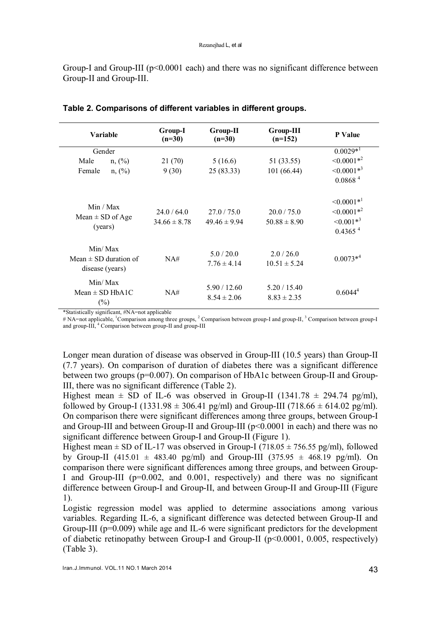Group-I and Group-III ( $p<0.0001$  each) and there was no significant difference between Group-II and Group-III.

| Variable                                                | Group-I<br>$(n=30)$             | $Group-II$<br>$(n=30)$        | Group-III<br>$(n=152)$          | P Value                                                                        |
|---------------------------------------------------------|---------------------------------|-------------------------------|---------------------------------|--------------------------------------------------------------------------------|
| Gender                                                  |                                 |                               |                                 | $0.0029*^1$                                                                    |
| Male<br>$n, (\%)$                                       | 21 (70)                         | 5(16.6)                       | 51 (33.55)                      | $\leq 0.0001*^2$                                                               |
| n, (%)<br>Female                                        | 9(30)                           | 25(83.33)                     | 101 (66.44)                     | $\leq 0.0001**^3$                                                              |
|                                                         |                                 |                               |                                 | 0.0868 <sup>4</sup>                                                            |
| Min / Max<br>Mean $\pm$ SD of Age<br>(years)            | 24.0 / 64.0<br>$34.66 \pm 8.78$ | 27.0/75.0<br>$49.46 \pm 9.94$ | 20.0 / 75.0<br>$50.88 \pm 8.90$ | $\leq 0.0001*^1$<br>$\leq 0.0001*^2$<br>$\leq 0.001*^3$<br>0.4365 <sup>4</sup> |
| Min/Max<br>Mean $\pm$ SD duration of<br>disease (years) | NA#                             | 5.0/20.0<br>$7.76 \pm 4.14$   | 2.0/26.0<br>$10.51 \pm 5.24$    | $0.0073**^4$                                                                   |
| Min/Max<br>Mean $\pm$ SD HbA1C<br>$(\%)$                | NA#                             | 5.90/12.60<br>$8.54 \pm 2.06$ | 5.20 / 15.40<br>$8.83 \pm 2.35$ | $0.6044^4$                                                                     |

Table 2. Comparisons of different variables in different groups.

\*Statistically significant, #NA=not applicable

# NA=not applicable, <sup>1</sup>Comparison among three groups, <sup>2</sup> Comparison between group-I and group-II, <sup>3</sup> Comparison between group-I and group-III, <sup>4</sup> Comparison between group-II and group-III

Longer mean duration of disease was observed in Group-III (10.5 years) than Group-II (7.7 years). On comparison of duration of diabetes there was a significant difference between two groups (p=0.007). On comparison of HbA1c between Group-II and Group-III, there was no significant difference (Table 2).

Highest mean  $\pm$  SD of IL-6 was observed in Group-II (1341.78  $\pm$  294.74 pg/ml), followed by Group-I (1331.98  $\pm$  306.41 pg/ml) and Group-III (718.66  $\pm$  614.02 pg/ml). On comparison there were significant differences among three groups, between Group-I and Group-III and between Group-II and Group-III  $(p<0.0001$  in each) and there was no significant difference between Group-I and Group-II (Figure 1).

Highest mean  $\pm$  SD of IL-17 was observed in Group-I (718.05  $\pm$  756.55 pg/ml), followed by Group-II (415.01  $\pm$  483.40 pg/ml) and Group-III (375.95  $\pm$  468.19 pg/ml). On comparison there were significant differences among three groups, and between Group-I and Group-III (p=0.002, and 0.001, respectively) and there was no significant difference between Group-I and Group-II, and between Group-II and Group-III (Figure 1).

Logistic regression model was applied to determine associations among various variables. Regarding IL-6, a significant difference was detected between Group-II and Group-III (p=0.009) while age and IL-6 were significant predictors for the development of diabetic retinopathy between Group-I and Group-II (p<0.0001, 0.005, respectively) (Table 3).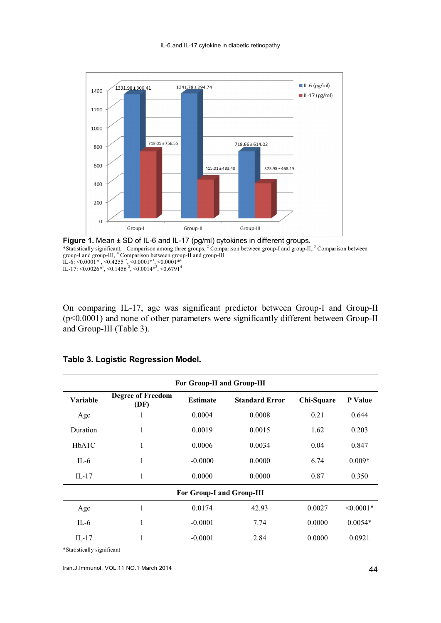

Figure 1. Mean ± SD of IL-6 and IL-17 (pg/ml) cytokines in different groups. \*Statistically significant, <sup>1</sup> Comparison among three groups, <sup>2</sup> Comparison between group-I and group-II, <sup>3</sup> Comparison between group-I and group-III,  $\binom{4}{1}$  Comparison between group-II and group-III<br>IL-6: <0.0001\*<sup>1</sup>, <0.4255<sup>2</sup>, <0.0001\*<sup>3</sup>, <0.0001\*<sup>4</sup> IL-17:  $\leq 0.0026*1, \leq 0.1456*2, \leq 0.0014*3, \leq 0.67914$ 

On comparing IL-17, age was significant predictor between Group-I and Group-II (p<0.0001) and none of other parameters were significantly different between Group-II and Group-III (Table 3).

| For Group-II and Group-III |                                  |                 |                       |            |                |  |  |  |
|----------------------------|----------------------------------|-----------------|-----------------------|------------|----------------|--|--|--|
| Variable                   | <b>Degree of Freedom</b><br>(DF) | <b>Estimate</b> | <b>Standard Error</b> | Chi-Square | P Value        |  |  |  |
| Age                        | 1                                | 0.0004          | 0.0008                | 0.21       | 0.644          |  |  |  |
| Duration                   | 1                                | 0.0019          | 0.0015                | 1.62       | 0.203          |  |  |  |
| HbA1C                      | 1                                | 0.0006          | 0.0034                | 0.04       | 0.847          |  |  |  |
| $II - 6$                   | 1                                | $-0.0000$       | 0.0000                | 6.74       | $0.009*$       |  |  |  |
| IL-17                      | 1                                | 0.0000          | 0.0000                | 0.87       | 0.350          |  |  |  |
| For Group-I and Group-III  |                                  |                 |                       |            |                |  |  |  |
| Age                        | 1                                | 0.0174          | 42.93                 | 0.0027     | $\leq 0.0001*$ |  |  |  |
| $II - 6$                   | 1                                | $-0.0001$       | 7.74                  | 0.0000     | $0.0054*$      |  |  |  |
| IL-17                      | 1                                | $-0.0001$       | 2.84                  | 0.0000     | 0.0921         |  |  |  |

#### Table 3. Logistic Regression Model.

\*Statistically significant

Iran.J.Immunol. VOL.11 NO.1 March 2014 44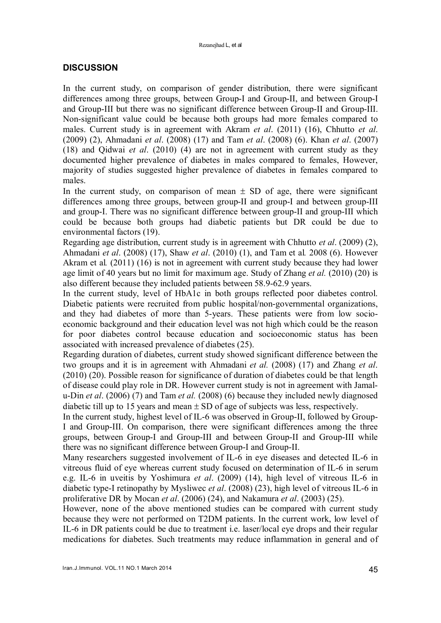# **DISCUSSION**

In the current study, on comparison of gender distribution, there were significant differences among three groups, between Group-I and Group-II, and between Group-I and Group-III but there was no significant difference between Group-II and Group-III. Non-significant value could be because both groups had more females compared to males. Current study is in agreement with Akram *et al*. (2011) (16), Chhutto *et al*. (2009) (2), Ahmadani *et al*. (2008) (17) and Tam *et al*. (2008) (6). Khan *et al*. (2007) (18) and Qidwai *et al*. (2010) (4) are not in agreement with current study as they documented higher prevalence of diabetes in males compared to females, However, majority of studies suggested higher prevalence of diabetes in females compared to males.

In the current study, on comparison of mean  $\pm$  SD of age, there were significant differences among three groups, between group-II and group-I and between group-III and group-I. There was no significant difference between group-II and group-III which could be because both groups had diabetic patients but DR could be due to environmental factors (19).

Regarding age distribution, current study is in agreement with Chhutto *et al*. (2009) (2), Ahmadani *et al*. (2008) (17), Shaw *et al*. (2010) (1), and Tam et al*.* 2008 (6). However Akram et al*.* (2011) (16) is not in agreement with current study because they had lower age limit of 40 years but no limit for maximum age. Study of Zhang *et al.* (2010) (20) is also different because they included patients between 58.9-62.9 years.

In the current study, level of HbA1c in both groups reflected poor diabetes control. Diabetic patients were recruited from public hospital/non-governmental organizations, and they had diabetes of more than 5-years. These patients were from low socioeconomic background and their education level was not high which could be the reason for poor diabetes control because education and socioeconomic status has been associated with increased prevalence of diabetes (25).

Regarding duration of diabetes, current study showed significant difference between the two groups and it is in agreement with Ahmadani *et al.* (2008) (17) and Zhang *et al*. (2010) (20). Possible reason for significance of duration of diabetes could be that length of disease could play role in DR. However current study is not in agreement with Jamalu-Din *et al*. (2006) (7) and Tam *et al.* (2008) (6) because they included newly diagnosed diabetic till up to 15 years and mean  $\pm$  SD of age of subjects was less, respectively.

In the current study, highest level of IL-6 was observed in Group-II, followed by Group-I and Group-III. On comparison, there were significant differences among the three groups, between Group-I and Group-III and between Group-II and Group-III while there was no significant difference between Group-I and Group-II.

Many researchers suggested involvement of IL-6 in eye diseases and detected IL-6 in vitreous fluid of eye whereas current study focused on determination of IL-6 in serum e.g. IL-6 in uveitis by Yoshimura *et al*. (2009) (14), high level of vitreous IL-6 in diabetic type-I retinopathy by Mysliwec *et al*. (2008) (23), high level of vitreous IL-6 in proliferative DR by Mocan *et al*. (2006) (24), and Nakamura *et al*. (2003) (25).

However, none of the above mentioned studies can be compared with current study because they were not performed on T2DM patients. In the current work, low level of IL-6 in DR patients could be due to treatment i.e. laser/local eye drops and their regular medications for diabetes. Such treatments may reduce inflammation in general and of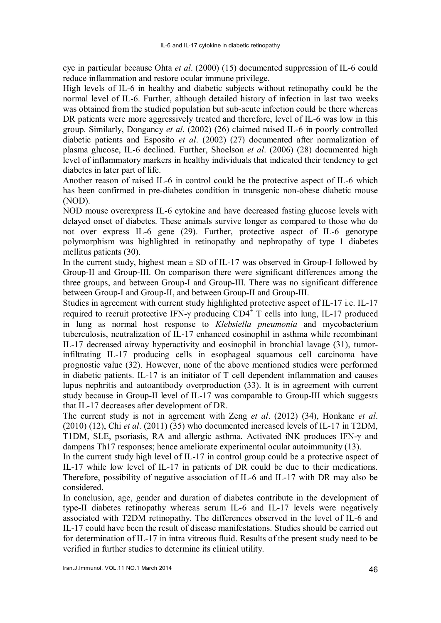eye in particular because Ohta *et al*. (2000) (15) documented suppression of IL-6 could reduce inflammation and restore ocular immune privilege.

High levels of IL-6 in healthy and diabetic subjects without retinopathy could be the normal level of IL-6. Further, although detailed history of infection in last two weeks was obtained from the studied population but sub-acute infection could be there whereas DR patients were more aggressively treated and therefore, level of IL-6 was low in this group. Similarly, Dongancy *et al*. (2002) (26) claimed raised IL-6 in poorly controlled diabetic patients and Esposito *et al*. (2002) (27) documented after normalization of plasma glucose, IL-6 declined. Further, Shoelson *et al*. (2006) (28) documented high level of inflammatory markers in healthy individuals that indicated their tendency to get diabetes in later part of life.

Another reason of raised IL-6 in control could be the protective aspect of IL-6 which has been confirmed in pre-diabetes condition in transgenic non-obese diabetic mouse (NOD).

NOD mouse overexpress IL-6 cytokine and have decreased fasting glucose levels with delayed onset of diabetes. These animals survive longer as compared to those who do not over express IL-6 gene (29). Further, protective aspect of IL-6 genotype polymorphism was highlighted in retinopathy and nephropathy of type 1 diabetes mellitus patients (30).

In the current study, highest mean  $\pm$  SD of IL-17 was observed in Group-I followed by Group-II and Group-III. On comparison there were significant differences among the three groups, and between Group-I and Group-III. There was no significant difference between Group-I and Group-II, and between Group-II and Group-III.

Studies in agreement with current study highlighted protective aspect of IL-17 i.e. IL-17 required to recruit protective IFN- $\gamma$  producing CD4<sup>+</sup> T cells into lung, IL-17 produced in lung as normal host response to *Klebsiella pneumonia* and mycobacterium tuberculosis, neutralization of IL-17 enhanced eosinophil in asthma while recombinant IL-17 decreased airway hyperactivity and eosinophil in bronchial lavage (31), tumorinfiltrating IL-17 producing cells in esophageal squamous cell carcinoma have prognostic value (32). However, none of the above mentioned studies were performed in diabetic patients. IL-17 is an initiator of T cell dependent inflammation and causes lupus nephritis and autoantibody overproduction (33). It is in agreement with current study because in Group-II level of IL-17 was comparable to Group-III which suggests that IL-17 decreases after development of DR.

The current study is not in agreement with Zeng *et al*. (2012) (34), Honkane *et al*. (2010) (12), Chi *et al*. (2011) (35) who documented increased levels of IL-17 in T2DM, T1DM, SLE, psoriasis, RA and allergic asthma. Activated iNK produces IFN-γ and dampens Th17 responses; hence ameliorate experimental ocular autoimmunity (13).

In the current study high level of IL-17 in control group could be a protective aspect of IL-17 while low level of IL-17 in patients of DR could be due to their medications. Therefore, possibility of negative association of IL-6 and IL-17 with DR may also be considered.

In conclusion, age, gender and duration of diabetes contribute in the development of type-II diabetes retinopathy whereas serum IL-6 and IL-17 levels were negatively associated with T2DM retinopathy. The differences observed in the level of IL-6 and IL-17 could have been the result of disease manifestations. Studies should be carried out for determination of IL-17 in intra vitreous fluid. Results of the present study need to be verified in further studies to determine its clinical utility.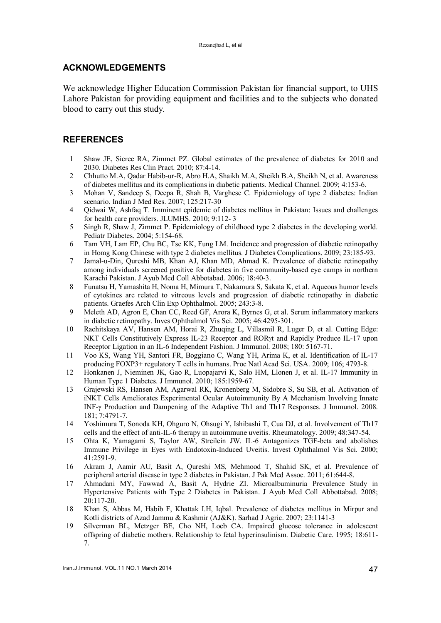#### ACKNOWLEDGEMENTS

We acknowledge Higher Education Commission Pakistan for financial support, to UHS Lahore Pakistan for providing equipment and facilities and to the subjects who donated blood to carry out this study.

### **REFERENCES**

- 1 Shaw JE, Sicree RA, Zimmet PZ. Global estimates of the prevalence of diabetes for 2010 and 2030. Diabetes Res Clin Pract. 2010; 87:4-14.
- 2 Chhutto M.A, Qadar Habib-ur-R, Abro H.A, Shaikh M.A, Sheikh B.A, Sheikh N, et al. Awareness of diabetes mellitus and its complications in diabetic patients. Medical Channel. 2009; 4:153-6.
- 3 Mohan V, Sandeep S, Deepa R, Shah B, Varghese C. Epidemiology of type 2 diabetes: Indian scenario. Indian J Med Res. 2007; 125:217-30
- 4 Qidwai W, Ashfaq T. Imminent epidemic of diabetes mellitus in Pakistan: Issues and challenges for health care providers. JLUMHS. 2010; 9:112- 3
- 5 Singh R, Shaw J, Zimmet P. Epidemiology of childhood type 2 diabetes in the developing world. Pediatr Diabetes. 2004; 5:154-68.
- 6 Tam VH, Lam EP, Chu BC, Tse KK, Fung LM. Incidence and progression of diabetic retinopathy in Homg Kong Chinese with type 2 diabetes mellitus. J Diabetes Complications. 2009; 23:185-93.
- 7 Jamal-u-Din, Qureshi MB, Khan AJ, Khan MD, Ahmad K. Prevalence of diabetic retinopathy among individuals screened positive for diabetes in five community-based eye camps in northern Karachi Pakistan. J Ayub Med Coll Abbotabad. 2006; 18:40-3.
- 8 Funatsu H, Yamashita H, Noma H, Mimura T, Nakamura S, Sakata K, et al. Aqueous humor levels of cytokines are related to vitreous levels and progression of diabetic retinopathy in diabetic patients. Graefes Arch Clin Exp Ophthalmol. 2005; 243:3-8.
- 9 Meleth AD, Agron E, Chan CC, Reed GF, Arora K, Byrnes G, et al. Serum inflammatory markers in diabetic retinopathy. Inves Ophthalmol Vis Sci. 2005; 46:4295-301.
- 10 Rachitskaya AV, Hansen AM, Horai R, Zhuqing L, Villasmil R, Luger D, et al. Cutting Edge: NKT Cells Constitutively Express IL-23 Receptor and ROR<sub>t and Rapidly Produce IL-17</sub> upon Receptor Ligation in an IL-6 Independent Fashion. J Immunol. 2008; 180: 5167-71.
- 11 Voo KS, Wang YH, Santori FR, Boggiano C, Wang YH, Arima K, et al. Identification of IL-17 producing FOXP3+ regulatory T cells in humans. Proc Natl Acad Sci. USA. 2009; 106; 4793-8.
- 12 Honkanen J, Nieminen JK, Gao R, Luopajarvi K, Salo HM, Llonen J, et al. IL-17 Immunity in Human Type 1 Diabetes. J Immunol. 2010; 185:1959-67.
- 13 Grajewski RS, Hansen AM, Agarwal RK, Kronenberg M, Sidobre S, Su SB, et al. Activation of iNKT Cells Ameliorates Experimental Ocular Autoimmunity By A Mechanism Involving Innate INF- $\gamma$  Production and Dampening of the Adaptive Th1 and Th17 Responses. J Immunol. 2008. 181; 7:4791-7.
- 14 Yoshimura T, Sonoda KH, Ohguro N, Ohsugi Y, Ishibashi T, Cua DJ, et al. Involvement of Th17 cells and the effect of anti-IL-6 therapy in autoimmune uveitis. Rheumatology. 2009; 48:347-54.
- 15 Ohta K, Yamagami S, Taylor AW, Streilein JW. IL-6 Antagonizes TGF-beta and abolishes Immune Privilege in Eyes with Endotoxin-Induced Uveitis. Invest Ophthalmol Vis Sci. 2000; 41:2591-9.
- 16 Akram J, Aamir AU, Basit A, Qureshi MS, Mehmood T, Shahid SK, et al. Prevalence of peripheral arterial disease in type 2 diabetes in Pakistan. J Pak Med Assoc. 2011; 61:644-8.
- 17 Ahmadani MY, Fawwad A, Basit A, Hydrie ZI. Microalbuminuria Prevalence Study in Hypertensive Patients with Type 2 Diabetes in Pakistan. J Ayub Med Coll Abbottabad. 2008; 20:117-20.
- 18 Khan S, Abbas M, Habib F, Khattak I.H, Iqbal. Prevalence of diabetes mellitus in Mirpur and Kotli districts of Azad Jammu & Kashmir (AJ&K). Sarhad J Agric. 2007; 23:1141-3
- 19 Silverman BL, Metzger BE, Cho NH, Loeb CA. Impaired glucose tolerance in adolescent offspring of diabetic mothers. Relationship to fetal hyperinsulinism. Diabetic Care. 1995; 18:611- 7.